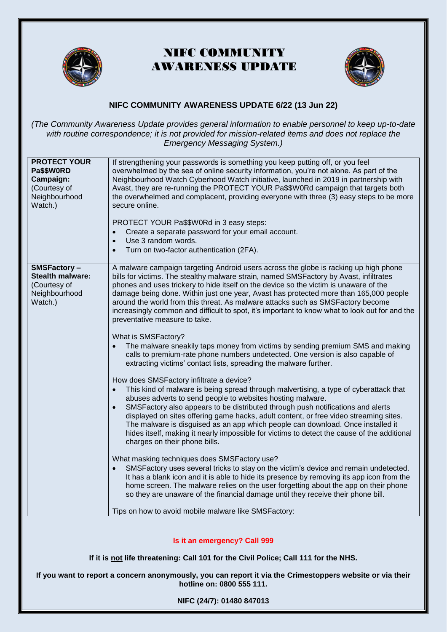

# NIFC COMMUNITY AWARENESS UPDATE



### **NIFC COMMUNITY AWARENESS UPDATE 6/22 (13 Jun 22)**

*(The Community Awareness Update provides general information to enable personnel to keep up-to-date with routine correspondence; it is not provided for mission-related items and does not replace the Emergency Messaging System.)*

| <b>PROTECT YOUR</b><br>Pa\$\$W0RD<br>Campaign:<br>(Courtesy of<br>Neighbourhood<br>Watch.) | If strengthening your passwords is something you keep putting off, or you feel<br>overwhelmed by the sea of online security information, you're not alone. As part of the<br>Neighbourhood Watch Cyberhood Watch initiative, launched in 2019 in partnership with<br>Avast, they are re-running the PROTECT YOUR Pa\$\$W0Rd campaign that targets both<br>the overwhelmed and complacent, providing everyone with three (3) easy steps to be more<br>secure online.<br>PROTECT YOUR Pa\$\$W0Rd in 3 easy steps:<br>Create a separate password for your email account.<br>$\bullet$<br>Use 3 random words.<br>$\bullet$<br>Turn on two-factor authentication (2FA).<br>$\bullet$                                                                                                                                                                                                                                                                                                                                                                                                                                                                                                                                                                                                                                                                                                                                                                                                                                                                                                                                                                                                                                                                                                                                                                                                                                                                                         |
|--------------------------------------------------------------------------------------------|-------------------------------------------------------------------------------------------------------------------------------------------------------------------------------------------------------------------------------------------------------------------------------------------------------------------------------------------------------------------------------------------------------------------------------------------------------------------------------------------------------------------------------------------------------------------------------------------------------------------------------------------------------------------------------------------------------------------------------------------------------------------------------------------------------------------------------------------------------------------------------------------------------------------------------------------------------------------------------------------------------------------------------------------------------------------------------------------------------------------------------------------------------------------------------------------------------------------------------------------------------------------------------------------------------------------------------------------------------------------------------------------------------------------------------------------------------------------------------------------------------------------------------------------------------------------------------------------------------------------------------------------------------------------------------------------------------------------------------------------------------------------------------------------------------------------------------------------------------------------------------------------------------------------------------------------------------------------------|
| <b>SMSFactory-</b><br><b>Stealth malware:</b><br>(Courtesy of<br>Neighbourhood<br>Watch.)  | A malware campaign targeting Android users across the globe is racking up high phone<br>bills for victims. The stealthy malware strain, named SMSFactory by Avast, infiltrates<br>phones and uses trickery to hide itself on the device so the victim is unaware of the<br>damage being done. Within just one year, Avast has protected more than 165,000 people<br>around the world from this threat. As malware attacks such as SMSFactory become<br>increasingly common and difficult to spot, it's important to know what to look out for and the<br>preventative measure to take.<br>What is SMSFactory?<br>The malware sneakily taps money from victims by sending premium SMS and making<br>calls to premium-rate phone numbers undetected. One version is also capable of<br>extracting victims' contact lists, spreading the malware further.<br>How does SMSFactory infiltrate a device?<br>This kind of malware is being spread through malvertising, a type of cyberattack that<br>$\bullet$<br>abuses adverts to send people to websites hosting malware.<br>SMSFactory also appears to be distributed through push notifications and alerts<br>$\bullet$<br>displayed on sites offering game hacks, adult content, or free video streaming sites.<br>The malware is disguised as an app which people can download. Once installed it<br>hides itself, making it nearly impossible for victims to detect the cause of the additional<br>charges on their phone bills.<br>What masking techniques does SMSFactory use?<br>SMSFactory uses several tricks to stay on the victim's device and remain undetected.<br>$\bullet$<br>It has a blank icon and it is able to hide its presence by removing its app icon from the<br>home screen. The malware relies on the user forgetting about the app on their phone<br>so they are unaware of the financial damage until they receive their phone bill.<br>Tips on how to avoid mobile malware like SMSFactory: |

#### **Is it an emergency? Call [999](tel:999)**

**If it is not life threatening: Call 101 for the Civil Police; Call 111 for the NHS.**

**If you want to report a concern anonymously, you can report it via the [Crimestoppers website](https://crimestoppers-uk.org/give-information/give-information-online/) or via their hotline on: 0800 555 111.**

**NIFC (24/7): 01480 847013**